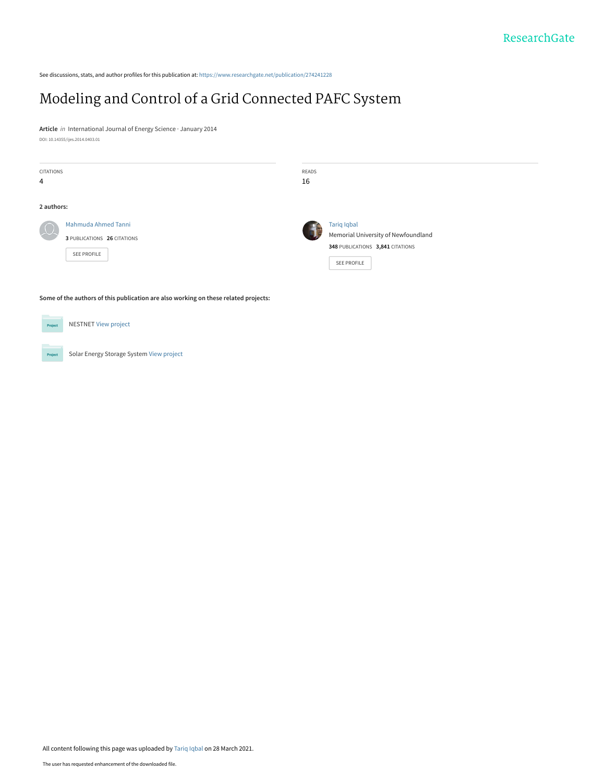See discussions, stats, and author profiles for this publication at: [https://www.researchgate.net/publication/274241228](https://www.researchgate.net/publication/274241228_Modeling_and_Control_of_a_Grid_Connected_PAFC_System?enrichId=rgreq-c7c1ce8e380c52f24919d8e7dc049be2-XXX&enrichSource=Y292ZXJQYWdlOzI3NDI0MTIyODtBUzoxMDA2NDA4OTE3MDYxNjMzQDE2MTY5NTc5OTI4Nzc%3D&el=1_x_2&_esc=publicationCoverPdf)

# [Modeling and Control of a Grid Connected PAFC System](https://www.researchgate.net/publication/274241228_Modeling_and_Control_of_a_Grid_Connected_PAFC_System?enrichId=rgreq-c7c1ce8e380c52f24919d8e7dc049be2-XXX&enrichSource=Y292ZXJQYWdlOzI3NDI0MTIyODtBUzoxMDA2NDA4OTE3MDYxNjMzQDE2MTY5NTc5OTI4Nzc%3D&el=1_x_3&_esc=publicationCoverPdf)

**Article** in International Journal of Energy Science · January 2014 DOI: 10.14355/ijes.2014.0403.01

| CITATIONS<br>4 |                                                                   | READS<br>16 |                                                                                                                     |  |
|----------------|-------------------------------------------------------------------|-------------|---------------------------------------------------------------------------------------------------------------------|--|
| 2 authors:     | Mahmuda Ahmed Tanni<br>3 PUBLICATIONS 26 CITATIONS<br>SEE PROFILE |             | <b>Tariq Iqbal</b><br>Memorial University of Newfoundland<br>348 PUBLICATIONS 3,841 CITATIONS<br><b>SEE PROFILE</b> |  |
|                |                                                                   |             |                                                                                                                     |  |

**Some of the authors of this publication are also working on these related projects:**

| Project | <b>NESTNET View project</b>              |
|---------|------------------------------------------|
|         |                                          |
| Project | Solar Energy Storage System View project |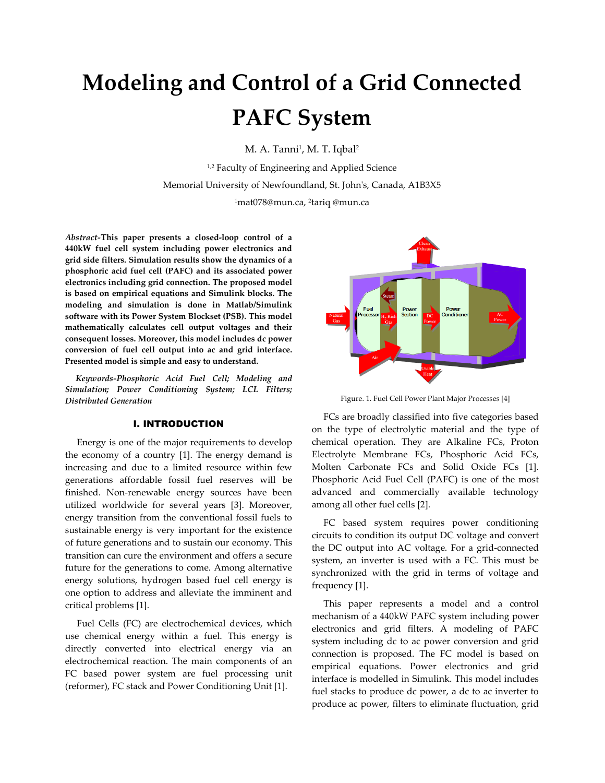# Modeling and Control of a Grid Connected PAFC System

M. A. Tanni<sup>1</sup>, M. T. Iqbal<sup>2</sup>

<sup>1,2</sup> Faculty of Engineering and Applied Science Memorial University of Newfoundland, St. John's, Canada, A1B3X5

<sup>1</sup>mat078@mun.ca, <sup>2</sup> tariq @mun.ca

Abstract-This paper presents a closed-loop control of a 440kW fuel cell system including power electronics and grid side filters. Simulation results show the dynamics of a phosphoric acid fuel cell (PAFC) and its associated power electronics including grid connection. The proposed model is based on empirical equations and Simulink blocks. The modeling and simulation is done in Matlab/Simulink software with its Power System Blockset (PSB). This model mathematically calculates cell output voltages and their consequent losses. Moreover, this model includes dc power conversion of fuel cell output into ac and grid interface. Presented model is simple and easy to understand.

 Keywords-Phosphoric Acid Fuel Cell; Modeling and Simulation; Power Conditioning System; LCL Filters; Distributed Generation

# І. INTRODUCTION

 Energy is one of the major requirements to develop the economy of a country [1]. The energy demand is increasing and due to a limited resource within few generations affordable fossil fuel reserves will be finished. Non-renewable energy sources have been utilized worldwide for several years [3]. Moreover, energy transition from the conventional fossil fuels to sustainable energy is very important for the existence of future generations and to sustain our economy. This transition can cure the environment and offers a secure future for the generations to come. Among alternative energy solutions, hydrogen based fuel cell energy is one option to address and alleviate the imminent and critical problems [1].

 Fuel Cells (FC) are electrochemical devices, which use chemical energy within a fuel. This energy is directly converted into electrical energy via an electrochemical reaction. The main components of an FC based power system are fuel processing unit (reformer), FC stack and Power Conditioning Unit [1].



Figure. 1. Fuel Cell Power Plant Major Processes [4]

 FCs are broadly classified into five categories based on the type of electrolytic material and the type of chemical operation. They are Alkaline FCs, Proton Electrolyte Membrane FCs, Phosphoric Acid FCs, Molten Carbonate FCs and Solid Oxide FCs [1]. Phosphoric Acid Fuel Cell (PAFC) is one of the most advanced and commercially available technology among all other fuel cells [2].

 FC based system requires power conditioning circuits to condition its output DC voltage and convert the DC output into AC voltage. For a grid-connected system, an inverter is used with a FC. This must be synchronized with the grid in terms of voltage and frequency [1].

 This paper represents a model and a control mechanism of a 440kW PAFC system including power electronics and grid filters. A modeling of PAFC system including dc to ac power conversion and grid connection is proposed. The FC model is based on empirical equations. Power electronics and grid interface is modelled in Simulink. This model includes fuel stacks to produce dc power, a dc to ac inverter to produce ac power, filters to eliminate fluctuation, grid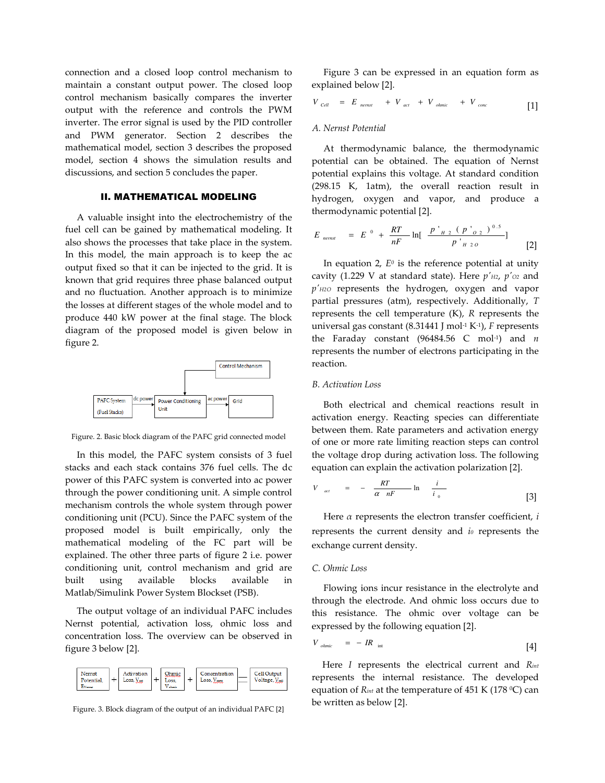connection and a closed loop control mechanism to maintain a constant output power. The closed loop control mechanism basically compares the inverter output with the reference and controls the PWM inverter. The error signal is used by the PID controller and PWM generator. Section 2 describes the mathematical model, section 3 describes the proposed model, section 4 shows the simulation results and discussions, and section 5 concludes the paper.

## ІІ. MATHEMATICAL MODELING

 A valuable insight into the electrochemistry of the fuel cell can be gained by mathematical modeling. It also shows the processes that take place in the system. In this model, the main approach is to keep the ac output fixed so that it can be injected to the grid. It is known that grid requires three phase balanced output and no fluctuation. Another approach is to minimize the losses at different stages of the whole model and to produce 440 kW power at the final stage. The block diagram of the proposed model is given below in figure 2.



Figure. 2. Basic block diagram of the PAFC grid connected model

 In this model, the PAFC system consists of 3 fuel stacks and each stack contains 376 fuel cells. The dc power of this PAFC system is converted into ac power through the power conditioning unit. A simple control mechanism controls the whole system through power conditioning unit (PCU). Since the PAFC system of the proposed model is built empirically, only the mathematical modeling of the FC part will be explained. The other three parts of figure 2 i.e. power conditioning unit, control mechanism and grid are built using available blocks available in Matlab/Simulink Power System Blockset (PSB).

 The output voltage of an individual PAFC includes Nernst potential, activation loss, ohmic loss and concentration loss. The overview can be observed in figure 3 below [2].



Figure. 3. Block diagram of the output of an individual PAFC [2]

 Figure 3 can be expressed in an equation form as explained below [2].

$$
V_{cell} = E_{nernst} + V_{act} + V_{ohmic} + V_{cone}
$$
 [1]

#### A. Nernst Potential

 At thermodynamic balance, the thermodynamic potential can be obtained. The equation of Nernst potential explains this voltage. At standard condition (298.15 K, 1atm), the overall reaction result in hydrogen, oxygen and vapor, and produce a thermodynamic potential [2].

$$
E_{nemst} = E^0 + \frac{RT}{nF} \ln[\frac{p'_{H2} (p'_{O2})^{0.5}}{p'_{H2O}}]
$$
 [2]

In equation 2,  $E^0$  is the reference potential at unity cavity (1.229 V at standard state). Here  $p'_{H2}$ ,  $p'_{O2}$  and  $p'$ <sub>H2O</sub> represents the hydrogen, oxygen and vapor partial pressures (atm), respectively. Additionally, T represents the cell temperature  $(K)$ ,  $R$  represents the universal gas constant (8.31441 J mol<sup>-1</sup> K<sup>-1</sup>),  $F$  represents the Faraday constant (96484.56 C mol<sup>-1</sup>) and *n* represents the number of electrons participating in the reaction.

#### B. Activation Loss

 Both electrical and chemical reactions result in activation energy. Reacting species can differentiate between them. Rate parameters and activation energy of one or more rate limiting reaction steps can control the voltage drop during activation loss. The following equation can explain the activation polarization [2].

$$
V_{act} = -\frac{RT}{\alpha nF} \ln \frac{i}{i_0} \tag{3}
$$

Here  $\alpha$  represents the electron transfer coefficient,  $i$ represents the current density and  $i<sub>0</sub>$  represents the exchange current density.

#### C. Ohmic Loss

 Flowing ions incur resistance in the electrolyte and through the electrode. And ohmic loss occurs due to this resistance. The ohmic over voltage can be expressed by the following equation [2].

$$
V_{ohmic} = -IR_{int} \tag{4}
$$

refer to represents the internal resistance. The developed Here I represents the electrical current and Rint equation of  $R_{int}$  at the temperature of 451 K (178 °C) can be written as below [2].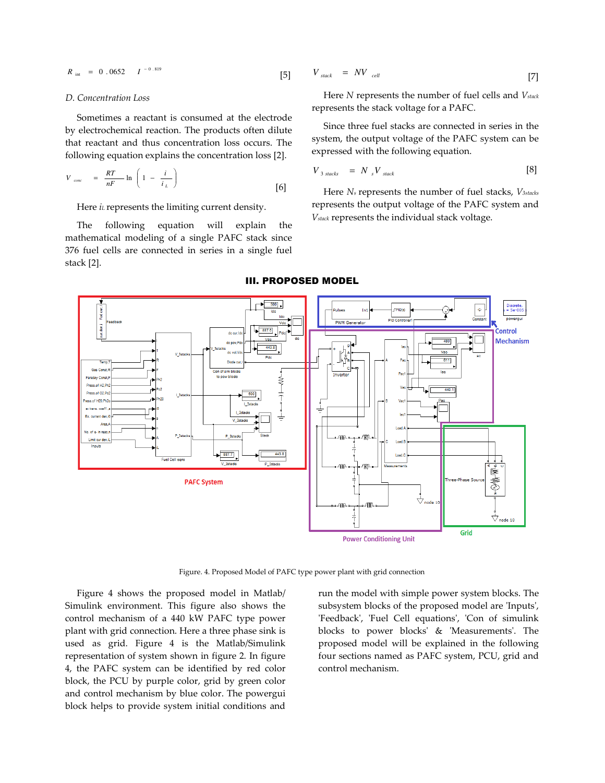$$
R_{\text{int}} = 0.0652 \t I^{-0.819} \t [5]
$$

#### D. Concentration Loss

 Sometimes a reactant is consumed at the electrode by electrochemical reaction. The products often dilute that reactant and thus concentration loss occurs. The following equation explains the concentration loss [2].

$$
V_{cone} = \frac{RT}{nF} \ln \left( 1 - \frac{i}{i_L} \right)
$$
 [6]

Here  $i$  represents the limiting current density.

 The following equation will explain the mathematical modeling of a single PAFC stack since 376 fuel cells are connected in series in a single fuel stack [2].

$$
V_{stack} = NV_{cell} \tag{7}
$$

Here  $N$  represents the number of fuel cells and  $V_{stack}$ represents the stack voltage for a PAFC.

 Since three fuel stacks are connected in series in the system, the output voltage of the PAFC system can be expressed with the following equation.

$$
V_{3 \;stack} = N_{s} V_{\text{stack}} \tag{8}
$$

Here  $N_s$  represents the number of fuel stacks,  $V_{3stacks}$ represents the output voltage of the PAFC system and Vstack represents the individual stack voltage.



#### ІІІ. PROPOSED MODEL

Figure. 4. Proposed Model of PAFC type power plant with grid connection

 Figure 4 shows the proposed model in Matlab/ Simulink environment. This figure also shows the control mechanism of a 440 kW PAFC type power plant with grid connection. Here a three phase sink is used as grid. Figure 4 is the Matlab/Simulink representation of system shown in figure 2. In figure 4, the PAFC system can be identified by red color block, the PCU by purple color, grid by green color and control mechanism by blue color. The powergui block helps to provide system initial conditions and

run the model with simple power system blocks. The subsystem blocks of the proposed model are 'Inputs', 'Feedback', 'Fuel Cell equations', 'Con of simulink blocks to power blocks' & 'Measurements'. The proposed model will be explained in the following four sections named as PAFC system, PCU, grid and control mechanism.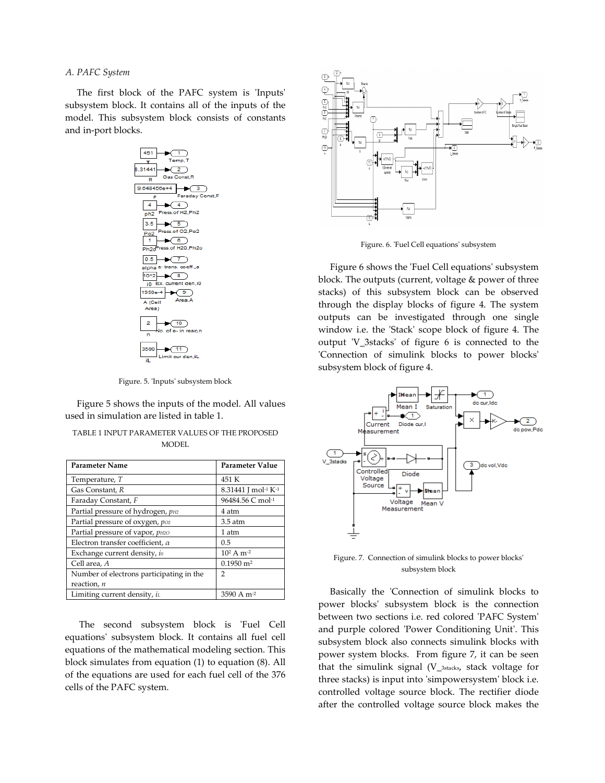#### A. PAFC System

 The first block of the PAFC system is 'Inputs' subsystem block. It contains all of the inputs of the model. This subsystem block consists of constants and in-port blocks.



Figure. 5. 'Inputs' subsystem block

 Figure 5 shows the inputs of the model. All values used in simulation are listed in table 1.

| <b>Parameter Name</b>                    | Parameter Value          |
|------------------------------------------|--------------------------|
| Temperature, T                           | 451 K                    |
| Gas Constant, R                          | 8.31441 J mol-1 K-1      |
| Faraday Constant, F                      | 96484.56 C mol-1         |
| Partial pressure of hydrogen, pH2        | 4 atm                    |
| Partial pressure of oxygen, poz          | $3.5$ atm                |
| Partial pressure of vapor, <i>pH2O</i>   | 1 atm                    |
| Electron transfer coefficient, $\alpha$  | 0.5                      |
| Exchange current density, io             | $10^2$ A m <sup>-2</sup> |
| Cell area, A                             | $0.1950$ m <sup>2</sup>  |
| Number of electrons participating in the | 2                        |
| reaction, $n$                            |                          |
| Limiting current density, $i\iota$       | 3590 A $m-2$             |

| TABLE 1 INPUT PARAMETER VALUES OF THE PROPOSED |
|------------------------------------------------|
| MODEL                                          |

 The second subsystem block is 'Fuel Cell equations' subsystem block. It contains all fuel cell equations of the mathematical modeling section. This block simulates from equation (1) to equation (8). All of the equations are used for each fuel cell of the 376 cells of the PAFC system.



Figure. 6. 'Fuel Cell equations' subsystem

 Figure 6 shows the 'Fuel Cell equations' subsystem block. The outputs (current, voltage & power of three stacks) of this subsystem block can be observed through the display blocks of figure 4. The system outputs can be investigated through one single window i.e. the 'Stack' scope block of figure 4. The output 'V\_3stacks' of figure 6 is connected to the 'Connection of simulink blocks to power blocks' subsystem block of figure 4.



Figure. 7. Connection of simulink blocks to power blocks' subsystem block

 Basically the 'Connection of simulink blocks to power blocks' subsystem block is the connection between two sections i.e. red colored 'PAFC System' and purple colored 'Power Conditioning Unit'. This subsystem block also connects simulink blocks with power system blocks. From figure 7, it can be seen that the simulink signal (V\_3stacks, stack voltage for three stacks) is input into 'simpowersystem' block i.e. controlled voltage source block. The rectifier diode after the controlled voltage source block makes the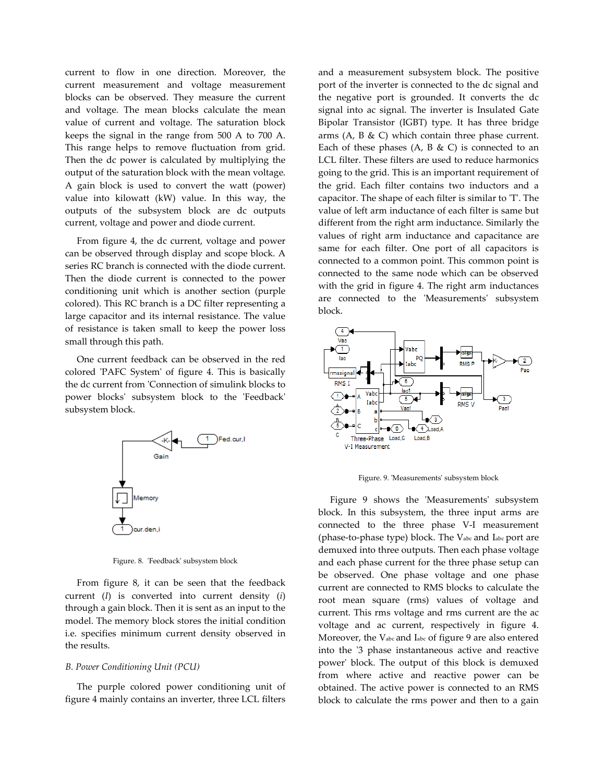current to flow in one direction. Moreover, the current measurement and voltage measurement blocks can be observed. They measure the current and voltage. The mean blocks calculate the mean value of current and voltage. The saturation block keeps the signal in the range from 500 A to 700 A. This range helps to remove fluctuation from grid. Then the dc power is calculated by multiplying the output of the saturation block with the mean voltage. A gain block is used to convert the watt (power) value into kilowatt (kW) value. In this way, the outputs of the subsystem block are dc outputs current, voltage and power and diode current.

 From figure 4, the dc current, voltage and power can be observed through display and scope block. A series RC branch is connected with the diode current. Then the diode current is connected to the power conditioning unit which is another section (purple colored). This RC branch is a DC filter representing a large capacitor and its internal resistance. The value of resistance is taken small to keep the power loss small through this path.

 One current feedback can be observed in the red colored 'PAFC System' of figure 4. This is basically the dc current from 'Connection of simulink blocks to power blocks' subsystem block to the 'Feedback' subsystem block.



Figure. 8. 'Feedback' subsystem block

 From figure 8, it can be seen that the feedback current (I) is converted into current density (i) through a gain block. Then it is sent as an input to the model. The memory block stores the initial condition i.e. specifies minimum current density observed in the results.

#### B. Power Conditioning Unit (PCU)

 The purple colored power conditioning unit of figure 4 mainly contains an inverter, three LCL filters

and a measurement subsystem block. The positive port of the inverter is connected to the dc signal and the negative port is grounded. It converts the dc signal into ac signal. The inverter is Insulated Gate Bipolar Transistor (IGBT) type. It has three bridge arms (A, B  $\&$  C) which contain three phase current. Each of these phases  $(A, B \& C)$  is connected to an LCL filter. These filters are used to reduce harmonics going to the grid. This is an important requirement of the grid. Each filter contains two inductors and a capacitor. The shape of each filter is similar to 'T'. The value of left arm inductance of each filter is same but different from the right arm inductance. Similarly the values of right arm inductance and capacitance are same for each filter. One port of all capacitors is connected to a common point. This common point is connected to the same node which can be observed with the grid in figure 4. The right arm inductances are connected to the 'Measurements' subsystem block.



Figure. 9. 'Measurements' subsystem block

 Figure 9 shows the 'Measurements' subsystem block. In this subsystem, the three input arms are connected to the three phase V-I measurement (phase-to-phase type) block. The Vabc and Iabc port are demuxed into three outputs. Then each phase voltage and each phase current for the three phase setup can be observed. One phase voltage and one phase current are connected to RMS blocks to calculate the root mean square (rms) values of voltage and current. This rms voltage and rms current are the ac voltage and ac current, respectively in figure 4. Moreover, the Vabc and Iabc of figure 9 are also entered into the '3 phase instantaneous active and reactive power' block. The output of this block is demuxed from where active and reactive power can be obtained. The active power is connected to an RMS block to calculate the rms power and then to a gain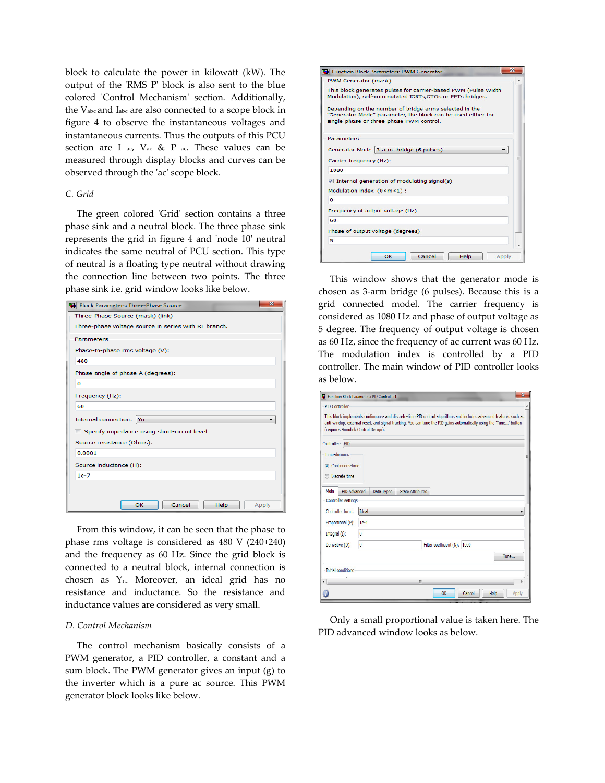block to calculate the power in kilowatt (kW). The output of the 'RMS P' block is also sent to the blue colored 'Control Mechanism' section. Additionally, the Vabc and Iabc are also connected to a scope block in figure 4 to observe the instantaneous voltages and instantaneous currents. Thus the outputs of this PCU section are I ac,  $V$  ac & P ac. These values can be measured through display blocks and curves can be observed through the 'ac' scope block.

#### C. Grid

 The green colored 'Grid' section contains a three phase sink and a neutral block. The three phase sink represents the grid in figure 4 and 'node 10' neutral indicates the same neutral of PCU section. This type of neutral is a floating type neutral without drawing the connection line between two points. The three phase sink i.e. grid window looks like below.

| <b>Block Parameters: Three-Phase Source</b>          |  |  |
|------------------------------------------------------|--|--|
| Three-Phase Source (mask) (link)                     |  |  |
| Three-phase voltage source in series with RL branch. |  |  |
| <b>Parameters</b>                                    |  |  |
| Phase-to-phase rms voltage (V):                      |  |  |
| 480                                                  |  |  |
| Phase angle of phase A (degrees):                    |  |  |
| $\Omega$                                             |  |  |
| Frequency (Hz):                                      |  |  |
| 60                                                   |  |  |
| Internal connection: Yn                              |  |  |
| Specify impedance using short-circuit level          |  |  |
| Source resistance (Ohms):                            |  |  |
| 0.0001                                               |  |  |
| Source inductance (H):                               |  |  |
| $1e-7$                                               |  |  |
|                                                      |  |  |
| Cancel<br>OK<br>Help<br>Apply                        |  |  |

 From this window, it can be seen that the phase to phase rms voltage is considered as 480 V (240+240) and the frequency as 60 Hz. Since the grid block is connected to a neutral block, internal connection is chosen as Yn. Moreover, an ideal grid has no resistance and inductance. So the resistance and inductance values are considered as very small.

#### D. Control Mechanism

 The control mechanism basically consists of a PWM generator, a PID controller, a constant and a sum block. The PWM generator gives an input (g) to the inverter which is a pure ac source. This PWM generator block looks like below.

| <b>Exercise Block Parameters: PWM Generator</b>                                                                                                                    | 53    |
|--------------------------------------------------------------------------------------------------------------------------------------------------------------------|-------|
| PWM Generator (mask)                                                                                                                                               |       |
| This block generates pulses for carrier-based PWM (Pulse Width<br>Modulation), self-commutated IGBTs, GTOs or FETs bridges.                                        |       |
| Depending on the number of bridge arms selected in the<br>"Generator Mode" parameter, the block can be used either for<br>single-phase or three-phase PWM control. |       |
| <b>Parameters</b>                                                                                                                                                  |       |
| Generator Mode 3-arm bridge (6 pulses)                                                                                                                             |       |
| Carrier frequency (Hz):                                                                                                                                            | Ξ     |
| 1080                                                                                                                                                               |       |
| $\sqrt{ }$ Internal generation of modulating signal(s)                                                                                                             |       |
| Modulation index (0 <m<1):< td=""><td></td></m<1):<>                                                                                                               |       |
| $\bf{0}$                                                                                                                                                           |       |
| Frequency of output voltage (Hz)                                                                                                                                   |       |
| 60                                                                                                                                                                 |       |
| Phase of output voltage (degrees)                                                                                                                                  |       |
| 5                                                                                                                                                                  |       |
| OK<br>Cancel<br>Help                                                                                                                                               | Apply |

 This window shows that the generator mode is chosen as 3-arm bridge (6 pulses). Because this is a grid connected model. The carrier frequency is considered as 1080 Hz and phase of output voltage as 5 degree. The frequency of output voltage is chosen as 60 Hz, since the frequency of ac current was 60 Hz. The modulation index is controlled by a PID controller. The main window of PID controller looks as below.

| <b>PID Controller</b>               |              |                                                                                                                                                                                                                                         |  |
|-------------------------------------|--------------|-----------------------------------------------------------------------------------------------------------------------------------------------------------------------------------------------------------------------------------------|--|
| (requires Simulink Control Design). |              | This block implements continuous- and discrete-time PID control algorithms and includes advanced features such as<br>anti-windup, external reset, and signal tracking. You can tune the PID gains automatically using the 'Tune' button |  |
| Controller: PID                     |              |                                                                                                                                                                                                                                         |  |
| Time-domain:                        |              |                                                                                                                                                                                                                                         |  |
| Continuous-time<br>$\bullet$        |              |                                                                                                                                                                                                                                         |  |
| Discrete-time                       |              |                                                                                                                                                                                                                                         |  |
| PID Advanced<br>Main                | Data Types   | <b>State Attributes</b>                                                                                                                                                                                                                 |  |
| <b>Controller settings</b>          |              |                                                                                                                                                                                                                                         |  |
| Controller form:                    | <b>Ideal</b> |                                                                                                                                                                                                                                         |  |
| Proportional (P):                   | $1e-4$       |                                                                                                                                                                                                                                         |  |
| Integral (I):                       | $\mathbf{0}$ |                                                                                                                                                                                                                                         |  |
| Derivative (D):                     | $\mathbf{0}$ | Filter coefficient (N): 1000                                                                                                                                                                                                            |  |
|                                     |              | Tune                                                                                                                                                                                                                                    |  |
|                                     |              |                                                                                                                                                                                                                                         |  |
|                                     |              |                                                                                                                                                                                                                                         |  |
| Initial conditions                  |              | Ш                                                                                                                                                                                                                                       |  |

 Only a small proportional value is taken here. The PID advanced window looks as below.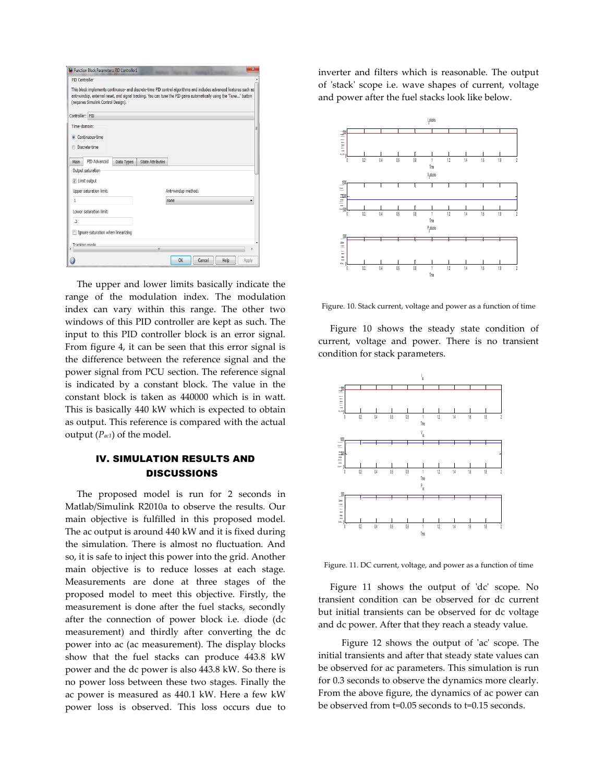| Function Block Parameters: PID Controller1<br><b>PID Controller</b> | $\mathbf x$                                                                                                        |
|---------------------------------------------------------------------|--------------------------------------------------------------------------------------------------------------------|
|                                                                     | This block implements continuous- and discrete-time PID control algorithms and includes advanced features such as  |
| (requires Simulink Control Design).                                 | anti-windup, external reset, and signal tracking. You can tune the PID gains automatically using the 'Tune' button |
| Controller: PID                                                     |                                                                                                                    |
| Time-domain:                                                        | Ξ                                                                                                                  |
| Continuous-time                                                     |                                                                                                                    |
| <b>O</b> Discrete-time                                              |                                                                                                                    |
| PID Advanced<br>Data Types<br><b>Main</b>                           | <b>State Attributes</b>                                                                                            |
| Output saturation                                                   |                                                                                                                    |
| V Limit output                                                      |                                                                                                                    |
| <b>Upper saturation limit:</b>                                      | Anti-windup method:                                                                                                |
| 1                                                                   | none                                                                                                               |
| Lower saturation limit:                                             |                                                                                                                    |
| $\overline{3}$                                                      |                                                                                                                    |
| Ignore saturation when linearizing                                  |                                                                                                                    |
| <b>Tracking mode</b>                                                | m                                                                                                                  |
|                                                                     | OK<br>Cancel<br>Help<br>Apply                                                                                      |

 The upper and lower limits basically indicate the range of the modulation index. The modulation index can vary within this range. The other two windows of this PID controller are kept as such. The input to this PID controller block is an error signal. From figure 4, it can be seen that this error signal is the difference between the reference signal and the power signal from PCU section. The reference signal is indicated by a constant block. The value in the constant block is taken as 440000 which is in watt. This is basically 440 kW which is expected to obtain as output. This reference is compared with the actual output  $(P_{ac1})$  of the model.

# ІV. SIMULATION RESULTS AND **DISCUSSIONS**

 The proposed model is run for 2 seconds in Matlab/Simulink R2010a to observe the results. Our main objective is fulfilled in this proposed model. The ac output is around 440 kW and it is fixed during the simulation. There is almost no fluctuation. And so, it is safe to inject this power into the grid. Another main objective is to reduce losses at each stage. Measurements are done at three stages of the proposed model to meet this objective. Firstly, the measurement is done after the fuel stacks, secondly after the connection of power block i.e. diode (dc measurement) and thirdly after converting the dc power into ac (ac measurement). The display blocks show that the fuel stacks can produce 443.8 kW power and the dc power is also 443.8 kW. So there is no power loss between these two stages. Finally the ac power is measured as 440.1 kW. Here a few kW power loss is observed. This loss occurs due to inverter and filters which is reasonable. The output of 'stack' scope i.e. wave shapes of current, voltage and power after the fuel stacks look like below.



Figure. 10. Stack current, voltage and power as a function of time

 Figure 10 shows the steady state condition of current, voltage and power. There is no transient condition for stack parameters.



Figure. 11. DC current, voltage, and power as a function of time

 Figure 11 shows the output of 'dc' scope. No transient condition can be observed for dc current but initial transients can be observed for dc voltage and dc power. After that they reach a steady value.

 Figure 12 shows the output of 'ac' scope. The initial transients and after that steady state values can be observed for ac parameters. This simulation is run for 0.3 seconds to observe the dynamics more clearly. From the above figure, the dynamics of ac power can be observed from t=0.05 seconds to t=0.15 seconds.